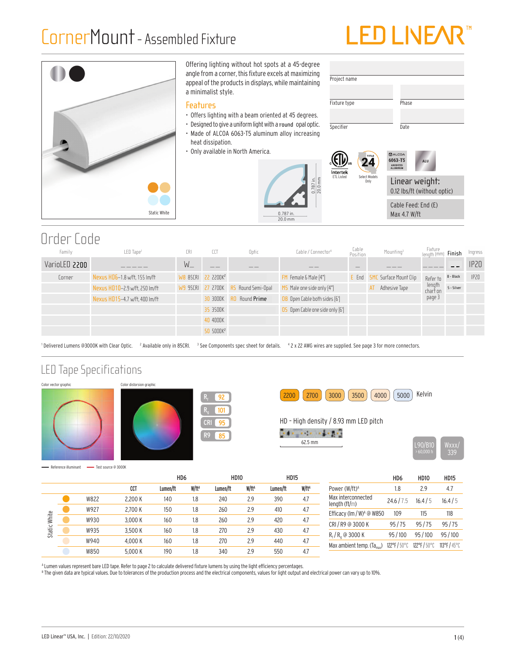## CornerMount- Assembled Fixture

# LED LINE/



#### Offering lighting without hot spots at a 45-degree angle from a corner, this fixture excels at maximizing appeal of the products in displays, while maintaining a minimalist style.

#### **Features**

- Offers lighting with a beam oriented at 45 degrees.
- Designed to give a uniform light with a round opal optic.
- Made of ALCOA 6063-T5 aluminum alloy increasing
- heat dissipation.
- Only available in North America.



Cable Feed: End (E) Max 4.7 W/ft

### Order Code

| Family        | LED Tape <sup>1</sup>          | CRI     | CCT                            | Optic           | Cable / Connector <sup>4</sup>          | Cable<br>Position | Mounting <sup>3</sup>      | Fixture<br>Iength (mm | Finish     | Ingress |
|---------------|--------------------------------|---------|--------------------------------|-----------------|-----------------------------------------|-------------------|----------------------------|-----------------------|------------|---------|
| VarioLED 2200 |                                | $W_{-}$ | __                             | ___             | __                                      |                   |                            |                       |            | IP20    |
| Corner        | Nexus HD6-1.8 w/ft, 155 lm/ft  |         | WB 85CRI 22 2200K <sup>2</sup> |                 | FM Female & Male [4"]                   | E End             | Surface Mount Clip<br>-SMC | Refer to              | B - Black  | IP20    |
|               | Nexus HD10-2.9 w/ft, 250 lm/ft |         | W9 95CRI 27 2700K              | Round Semi-Opal | Male one side only [4"]<br>15           |                   | Adhesive Tape              | length<br>chart on    | S - Silver |         |
|               | Nexus HD15-4.7 w/ft, 400 lm/ft |         | 30 3000K                       | Round Prime     | OB Open Cable both sides [6']           |                   |                            | page 3                |            |         |
|               |                                |         | 35 3500K                       |                 | <b>OS</b> Open Cable one side only [6'] |                   |                            |                       |            |         |
|               |                                |         | 40 4000K                       |                 |                                         |                   |                            |                       |            |         |
|               |                                |         | 50 5000K <sup>2</sup>          |                 |                                         |                   |                            |                       |            |         |

0.787 in. 20.0 mm

<sup>1</sup> Delivered Lumens @3000K with Clear Optic. <sup>2</sup> Available only in 85CRI. <sup>3</sup> See Components spec sheet for details. <sup>4</sup> 2 x 22 AWG wires are supplied. See page 3 for more connectors.

### LED Tape Specifications













Reference illuminant - Test source @ 3000K

|                              |      |         | HD <sub>6</sub> |                   | <b>HD10</b> |                   | <b>HD15</b> |                   |
|------------------------------|------|---------|-----------------|-------------------|-------------|-------------------|-------------|-------------------|
|                              |      | CCT     | Lumen/ft        | W/ft <sup>A</sup> | Lumen/ft    | W/ft <sup>A</sup> | Lumen/ft    | W/ft <sup>A</sup> |
| White<br>Static <sup>1</sup> | W822 | 2.200 K | 140             | 1.8               | 240         | 2.9               | 390         | 4.7               |
|                              | W927 | 2.700 K | 150             | 1.8               | 260         | 2.9               | 410         | 4.7               |
|                              | W930 | 3.000 K | 160             | 1.8               | 260         | 2.9               | 420         | 4.7               |
|                              | W935 | 3.500 K | 160             | 1.8               | 270         | 2.9               | 430         | 4.7               |
|                              | W940 | 4.000 K | 160             | 1.8               | 270         | 2.9               | 440         | 4.7               |
|                              | W850 | 5.000 K | 190             | 1.8               | 340         | 2.9               | 550         | 4.7               |

|                                                    | HD6        | <b>HD10</b> | <b>HD15</b>  |
|----------------------------------------------------|------------|-------------|--------------|
| Power (W/ft) <sup>A</sup>                          | 1.8        | 29          | 4.7          |
| Max interconnected<br>length $(ft/m)$              | 24.6/7.5   | 16.4/5      | 16.4/5       |
| Efficacy (Im / W) <sup><math>A</math></sup> @ W850 | 109        | 115         | 118          |
| CRI / R9 @ 3000 K                                  | 95/75      | 95/75       | 95/75        |
| $R_f/R_a$ @ 3000 K                                 | 95/100     | 95/100      | 95/100       |
| Max ambient temp. (Ta <sub>max</sub> )             | 122°F/50°C | 122°F/50°C  | 113°F / 45°C |

A Lumen values represent bare LED tape. Refer to page 2 to calculate delivered fixture lumens by using the light efficiency percentages.

 $^{\text{\tiny{\textup{B}}} }$  The given data are typical values. Due to tolerances of the production process and the electrical components, values for light output and electrical power can vary up to 10%.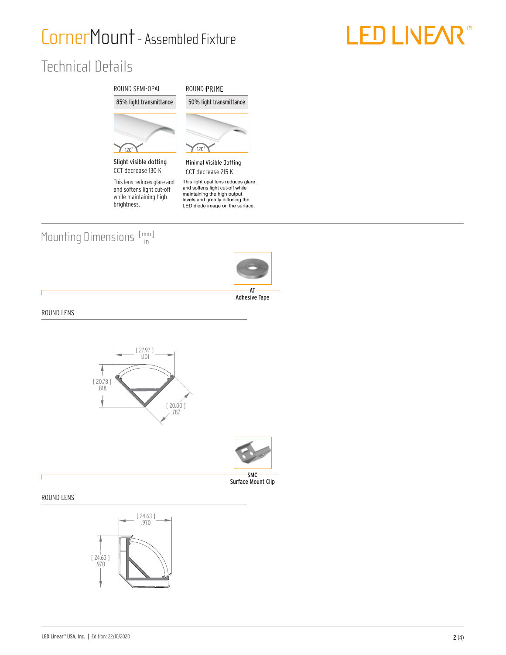

## Technical Details



This lens reduces glare and and softens light cut-off while maintaining high brightness.



This light opal lens reduces glare and softens light cut-off while<br>maintaining the high output mamaning are night earpided<br>levels and greatly diffusing the<br>LED diode image on the surface.

### Mounting Dimensions  $[\begin{smallmatrix} mm \ m \end{smallmatrix}]$



Adhesive Tape

ROUND LENS



#### ROUND LENS

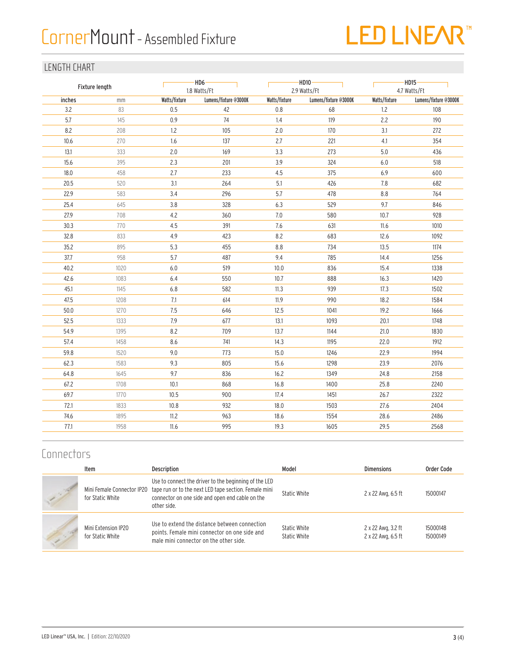## CornerMount - Assembled Fixture

# LED LIVEAR<sup>™</sup>

#### LENGTH CHART

|        | Fixture length |               | $-HD6-$<br>1.8 Watts/Ft |               | $-HD10 -$<br>2.9 Watts/Ft |               | $-HD15$<br>4.7 Watts/Ft |  |  |
|--------|----------------|---------------|-------------------------|---------------|---------------------------|---------------|-------------------------|--|--|
| inches | mm             | Watts/fixture | Lumens/fixture @3000K   | Watts/fixture | Lumens/fixture @3000K     | Watts/fixture | Lumens/fixture @3000K   |  |  |
| 3.2    | 83             | 0.5           | 42                      | 0.8           | 68                        | 1.2           | 108                     |  |  |
| 5.7    | 145            | 0.9           | 74                      | 1.4           | 119                       | 2.2           | 190                     |  |  |
| 8.2    | 208            | 1.2           | 105                     | 2.0           | 170                       | 3.1           | 272                     |  |  |
| 10.6   | 270            | 1.6           | 137                     | 2.7           | 221                       | 4.1           | 354                     |  |  |
| 13.1   | 333            | 2.0           | 169                     | 3.3           | 273                       | 5.0           | 436                     |  |  |
| 15.6   | 395            | 2.3           | 201                     | 3.9           | 324                       | 6.0           | 518                     |  |  |
| 18.0   | 458            | 2.7           | 233                     | 4.5           | 375                       | 6.9           | 600                     |  |  |
| 20.5   | 520            | 3.1           | 264                     | 5.1           | 426                       | 7.8           | 682                     |  |  |
| 22.9   | 583            | 3.4           | 296                     | 5.7           | 478                       | 8.8           | 764                     |  |  |
| 25.4   | 645            | 3.8           | 328                     | 6.3           | 529                       | 9.7           | 846                     |  |  |
| 27.9   | 708            | $4.2\,$       | 360                     | 7.0           | 580                       | 10.7          | 928                     |  |  |
| 30.3   | 770            | 4.5           | 391                     | 7.6           | 631                       | 11.6          | 1010                    |  |  |
| 32.8   | 833            | 4.9           | 423                     | 8.2           | 683                       | 12.6          | 1092                    |  |  |
| 35.2   | 895            | 5.3           | 455                     | 8.8           | 734                       | 13.5          | 1174                    |  |  |
| 37.7   | 958            | 5.7           | 487                     | 9.4           | 785                       | 14.4          | 1256                    |  |  |
| 40.2   | 1020           | $6.0\,$       | 519                     | 10.0          | 836                       | 15.4          | 1338                    |  |  |
| 42.6   | 1083           | 6.4           | 550                     | 10.7          | 888                       | 16.3          | 1420                    |  |  |
| 45.1   | 1145           | 6.8           | 582                     | 11.3          | 939                       | 17.3          | 1502                    |  |  |
| 47.5   | 1208           | 7.1           | 614                     | 11.9          | 990                       | 18.2          | 1584                    |  |  |
| 50.0   | 1270           | 7.5           | 646                     | 12.5          | 1041                      | 19.2          | 1666                    |  |  |
| 52.5   | 1333           | $7.9$         | 677                     | 13.1          | 1093                      | 20.1          | 1748                    |  |  |
| 54.9   | 1395           | 8.2           | 709                     | 13.7          | 1144                      | 21.0          | 1830                    |  |  |
| 57.4   | 1458           | 8.6           | 741                     | 14.3          | 1195                      | 22.0          | 1912                    |  |  |
| 59.8   | 1520           | 9.0           | 773                     | 15.0          | 1246                      | 22.9          | 1994                    |  |  |
| 62.3   | 1583           | 9.3           | 805                     | 15.6          | 1298                      | 23.9          | 2076                    |  |  |
| 64.8   | 1645           | 9.7           | 836                     | 16.2          | 1349                      | 24.8          | 2158                    |  |  |
| 67.2   | 1708           | 10.1          | 868                     | 16.8          | 1400                      | 25.8          | 2240                    |  |  |
| 69.7   | 1770           | 10.5          | 900                     | 17.4          | 1451                      | 26.7          | 2322                    |  |  |
| 72.1   | 1833           | 10.8          | 932                     | 18.0          | 1503                      | 27.6          | 2404                    |  |  |
| 74.6   | 1895           | 11.2          | 963                     | 18.6          | 1554                      | 28.6          | 2486                    |  |  |
| 77.1   | 1958           | 11.6          | 995                     | 19.3          | 1605                      | 29.5          | 2568                    |  |  |
|        |                |               |                         |               |                           |               |                         |  |  |

#### **Connectors**

| Item                                    | <b>Description</b>                                                                                                                                                                                          | Model                        | <b>Dimensions</b>                        | Order Code           |
|-----------------------------------------|-------------------------------------------------------------------------------------------------------------------------------------------------------------------------------------------------------------|------------------------------|------------------------------------------|----------------------|
| for Static White                        | Use to connect the driver to the beginning of the LED<br>Mini Female Connector IP20 tape run or to the next LED tape section. Female mini<br>connector on one side and open end cable on the<br>other side. | Static White                 | 2 x 22 Awg, 6.5 ft                       | 15000147             |
| Mini Extension IP20<br>for Static White | Use to extend the distance between connection<br>points. Female mini connector on one side and<br>male mini connector on the other side.                                                                    | Static White<br>Static White | 2 x 22 Awg, 3.2 ft<br>2 x 22 Awg, 6.5 ft | 15000148<br>15000149 |